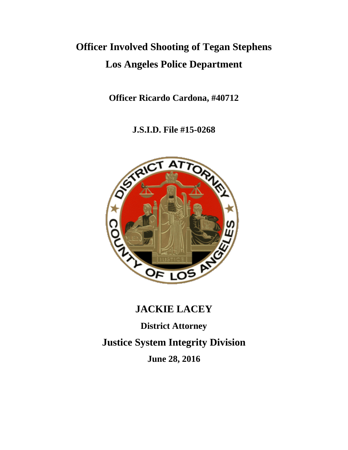# **Officer Involved Shooting of Tegan Stephens Los Angeles Police Department**

**Officer Ricardo Cardona, #40712**

**J.S.I.D. File #15-0268**



## **JACKIE LACEY**

**District Attorney**

**Justice System Integrity Division**

**June 28, 2016**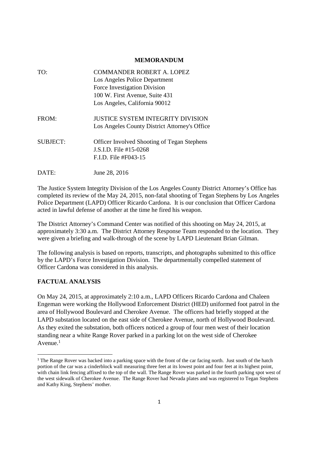#### **MEMORANDUM**

| TO:             | <b>COMMANDER ROBERT A. LOPEZ</b>                   |
|-----------------|----------------------------------------------------|
|                 | Los Angeles Police Department                      |
|                 | Force Investigation Division                       |
|                 | 100 W. First Avenue, Suite 431                     |
|                 | Los Angeles, California 90012                      |
| FROM:           | <b>JUSTICE SYSTEM INTEGRITY DIVISION</b>           |
|                 | Los Angeles County District Attorney's Office      |
| <b>SUBJECT:</b> | <b>Officer Involved Shooting of Tegan Stephens</b> |
|                 | J.S.I.D. File #15-0268                             |
|                 | $F.I.D.$ File #F043-15                             |
| DATE:           | June 28, 2016                                      |

The Justice System Integrity Division of the Los Angeles County District Attorney's Office has completed its review of the May 24, 2015, non-fatal shooting of Tegan Stephens by Los Angeles Police Department (LAPD) Officer Ricardo Cardona. It is our conclusion that Officer Cardona acted in lawful defense of another at the time he fired his weapon.

The District Attorney's Command Center was notified of this shooting on May 24, 2015, at approximately 3:30 a.m. The District Attorney Response Team responded to the location. They were given a briefing and walk-through of the scene by LAPD Lieutenant Brian Gilman.

The following analysis is based on reports, transcripts, and photographs submitted to this office by the LAPD's Force Investigation Division. The departmentally compelled statement of Officer Cardona was considered in this analysis.

### **FACTUAL ANALYSIS**

On May 24, 2015, at approximately 2:10 a.m., LAPD Officers Ricardo Cardona and Chaleen Engeman were working the Hollywood Enforcement District (HED) uniformed foot patrol in the area of Hollywood Boulevard and Cherokee Avenue. The officers had briefly stopped at the LAPD substation located on the east side of Cherokee Avenue, north of Hollywood Boulevard. As they exited the substation, both officers noticed a group of four men west of their location standing near a white Range Rover parked in a parking lot on the west side of Cherokee Avenue. $<sup>1</sup>$ </sup>

<sup>&</sup>lt;sup>1</sup> The Range Rover was backed into a parking space with the front of the car facing north. Just south of the hatch portion of the car was a cinderblock wall measuring three feet at its lowest point and four feet at its highest point, with chain link fencing affixed to the top of the wall. The Range Rover was parked in the fourth parking spot west of the west sidewalk of Cherokee Avenue. The Range Rover had Nevada plates and was registered to Tegan Stephens and Kathy King, Stephens' mother.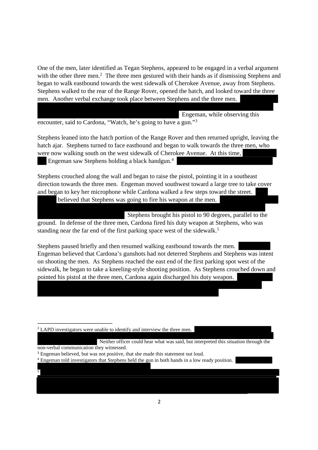One of the men, later identified as Tegan Stephens, appeared to be engaged in a verbal argument with the other three men.<sup>2</sup> The three men gestured with their hands as if dismissing Stephens and began to walk eastbound towards the west sidewalk of Cherokee Avenue, away from Stephens. Stephens walked to the rear of the Range Rover, opened the hatch, and looked toward the three men. Another verbal exchange took place between Stephens and the three men.

Engeman, while observing this

encounter, said to Cardona, "Watch, he's going to have a gun."<sup>3</sup>

Stephens leaned into the hatch portion of the Range Rover and then returned upright, leaving the hatch ajar. Stephens turned to face eastbound and began to walk towards the three men, who were now walking south on the west sidewalk of Cherokee Avenue. At this time, Engeman saw Stephens holding a black handgun.<sup>4</sup>

Stephens crouched along the wall and began to raise the pistol, pointing it in a southeast direction towards the three men. Engeman moved southwest toward a large tree to take cover and began to key her microphone while Cardona walked a few steps toward the street.

believed that Stephens was going to fire his weapon at the men.

Stephens brought his pistol to 90 degrees, parallel to the ground. In defense of the three men, Cardona fired his duty weapon at Stephens, who was standing near the far end of the first parking space west of the sidewalk.<sup>5</sup>

Stephens paused briefly and then resumed walking eastbound towards the men. Engeman believed that Cardona's gunshots had not deterred Stephens and Stephens was intent on shooting the men. As Stephens reached the east end of the first parking spot west of the sidewalk, he began to take a kneeling-style shooting position. As Stephens crouched down and pointed his pistol at the three men, Cardona again discharged his duty weapon.

<sup>2</sup> LAPD investigators were unable to identify and interview the three men.

Neither officer could hear what was said, but interpreted this situation through the

non-verbal communication they witnessed.

5

<sup>3</sup> Engeman believed, but was not positive, that she made this statement out loud.

<sup>4</sup> Engeman told investigators that Stephens held the gun in both hands in a low ready position.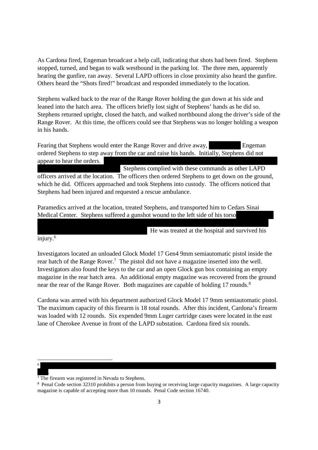As Cardona fired, Engeman broadcast a help call, indicating that shots had been fired. Stephens stopped, turned, and began to walk westbound in the parking lot. The three men, apparently hearing the gunfire, ran away. Several LAPD officers in close proximity also heard the gunfire. Others heard the "Shots fired!" broadcast and responded immediately to the location.

Stephens walked back to the rear of the Range Rover holding the gun down at his side and leaned into the hatch area. The officers briefly lost sight of Stephens' hands as he did so. Stephens returned upright, closed the hatch, and walked northbound along the driver's side of the Range Rover. At this time, the officers could see that Stephens was no longer holding a weapon in his hands.

Fearing that Stephens would enter the Range Rover and drive away, Engeman ordered Stephens to step away from the car and raise his hands. Initially, Stephens did not appear to hear the orders.

Stephens complied with these commands as other LAPD officers arrived at the location. The officers then ordered Stephens to get down on the ground, which he did. Officers approached and took Stephens into custody. The officers noticed that Stephens had been injured and requested a rescue ambulance.

Paramedics arrived at the location, treated Stephens, and transported him to Cedars Sinai Medical Center. Stephens suffered a gunshot wound to the left side of his torso

He was treated at the hospital and survived his

injury.<sup>6</sup>

Investigators located an unloaded Glock Model 17 Gen4 9mm semiautomatic pistol inside the rear hatch of the Range Rover.<sup>7</sup> The pistol did not have a magazine inserted into the well. Investigators also found the keys to the car and an open Glock gun box containing an empty magazine in the rear hatch area. An additional empty magazine was recovered from the ground near the rear of the Range Rover. Both magazines are capable of holding 17 rounds.<sup>8</sup>

Cardona was armed with his department authorized Glock Model 17 9mm semiautomatic pistol. The maximum capacity of this firearm is 18 total rounds. After this incident, Cardona's firearm was loaded with 12 rounds. Six expended 9mm Luger cartridge cases were located in the east lane of Cherokee Avenue in front of the LAPD substation. Cardona fired six rounds.

6

.

 $\frac{1}{7}$ The firearm was registered in Nevada to Stephens.

<sup>&</sup>lt;sup>8</sup> Penal Code section 32310 prohibits a person from buying or receiving large capacity magazines. A large capacity magazine is capable of accepting more than 10 rounds. Penal Code section 16740.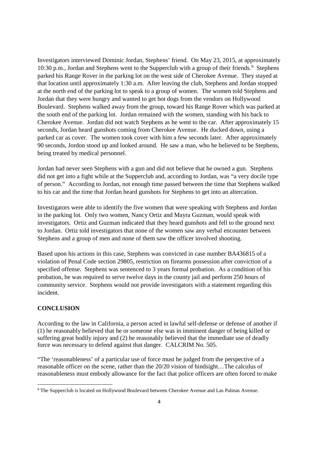Investigators interviewed Dominic Jordan, Stephens' friend. On May 23, 2015, at approximately 10:30 p.m., Jordan and Stephens went to the Supperclub with a group of their friends.<sup>9</sup> Stephens parked his Range Rover in the parking lot on the west side of Cherokee Avenue. They stayed at that location until approximately 1:30 a.m. After leaving the club, Stephens and Jordan stopped at the north end of the parking lot to speak to a group of women. The women told Stephens and Jordan that they were hungry and wanted to get hot dogs from the vendors on Hollywood Boulevard. Stephens walked away from the group, toward his Range Rover which was parked at the south end of the parking lot. Jordan remained with the women, standing with his back to Cherokee Avenue. Jordan did not watch Stephens as he went to the car. After approximately 15 seconds, Jordan heard gunshots coming from Cherokee Avenue. He ducked down, using a parked car as cover. The women took cover with him a few seconds later. After approximately 90 seconds, Jordon stood up and looked around. He saw a man, who he believed to be Stephens, being treated by medical personnel.

Jordan had never seen Stephens with a gun and did not believe that he owned a gun. Stephens did not get into a fight while at the Supperclub and, according to Jordan, was "a very docile type of person." According to Jordan, not enough time passed between the time that Stephens walked to his car and the time that Jordan heard gunshots for Stephens to get into an altercation.

Investigators were able to identify the five women that were speaking with Stephens and Jordan in the parking lot. Only two women, Nancy Ortiz and Mayra Guzman, would speak with investigators. Ortiz and Guzman indicated that they heard gunshots and fell to the ground next to Jordan. Ortiz told investigators that none of the women saw any verbal encounter between Stephens and a group of men and none of them saw the officer involved shooting.

Based upon his actions in this case, Stephens was convicted in case number BA436815 of a violation of Penal Code section 29805, restriction on firearms possession after conviction of a specified offense. Stephens was sentenced to 3 years formal probation. As a condition of his probation, he was required to serve twelve days in the county jail and perform 250 hours of community service. Stephens would not provide investigators with a statement regarding this incident.

#### **CONCLUSION**

According to the law in California, a person acted in lawful self-defense or defense of another if (1) he reasonably believed that he or someone else was in imminent danger of being killed or suffering great bodily injury and (2) he reasonably believed that the immediate use of deadly force was necessary to defend against that danger. CALCRIM No. 505.

"The 'reasonableness' of a particular use of force must be judged from the perspective of a reasonable officer on the scene, rather than the 20/20 vision of hindsight…The calculus of reasonableness must embody allowance for the fact that police officers are often forced to make

<sup>9</sup> The Supperclub is located on Hollywood Boulevard between Cherokee Avenue and Las Palmas Avenue.